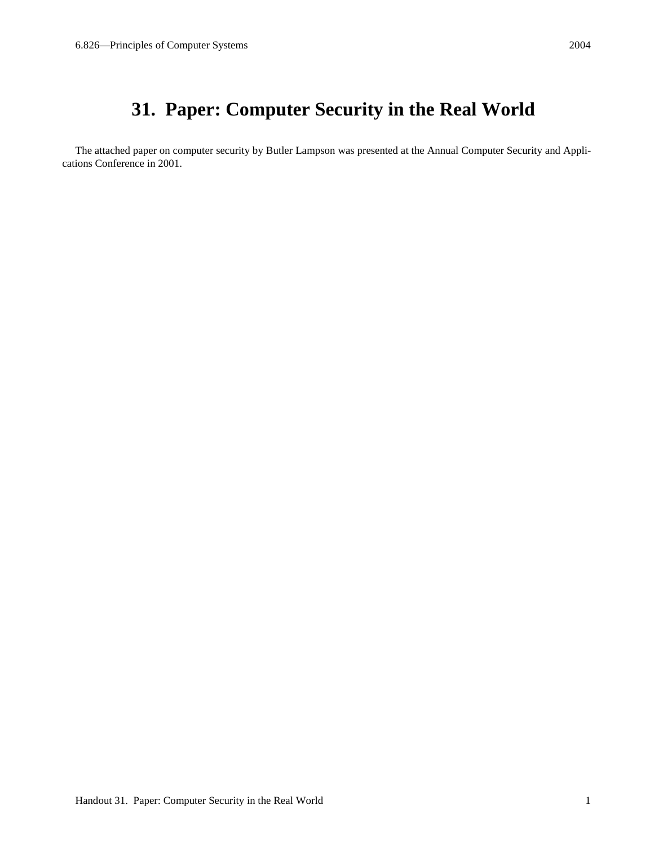# **31. Paper: Computer Security in the Real World**

The attached paper on computer security by Butler Lampson was presented at the Annual Computer Security and Applications Conference in 2001.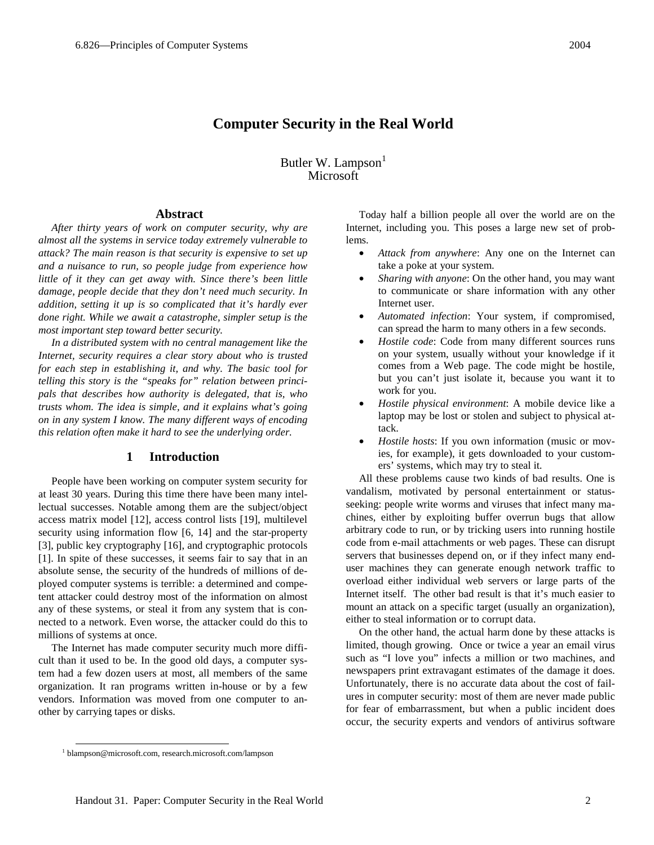Butler W. Lampson<sup>1</sup> Microsoft

## **Abstract**

*After thirty years of work on computer security, why are almost all the systems in service today extremely vulnerable to attack? The main reason is that security is expensive to set up and a nuisance to run, so people judge from experience how little of it they can get away with. Since there's been little damage, people decide that they don't need much security. In addition, setting it up is so complicated that it's hardly ever done right. While we await a catastrophe, simpler setup is the most important step toward better security.* 

*In a distributed system with no central management like the Internet, security requires a clear story about who is trusted for each step in establishing it, and why. The basic tool for telling this story is the "speaks for" relation between principals that describes how authority is delegated, that is, who trusts whom. The idea is simple, and it explains what's going on in any system I know. The many different ways of encoding this relation often make it hard to see the underlying order.* 

# **1 Introduction**

People have been working on computer system security for at least 30 years. During this time there have been many intellectual successes. Notable among them are the subject/object access matrix model [12], access control lists [19], multilevel security using information flow [6, 14] and the star-property [3], public key cryptography [16], and cryptographic protocols [1]. In spite of these successes, it seems fair to say that in an absolute sense, the security of the hundreds of millions of deployed computer systems is terrible: a determined and competent attacker could destroy most of the information on almost any of these systems, or steal it from any system that is connected to a network. Even worse, the attacker could do this to millions of systems at once.

The Internet has made computer security much more difficult than it used to be. In the good old days, a computer system had a few dozen users at most, all members of the same organization. It ran programs written in-house or by a few vendors. Information was moved from one computer to another by carrying tapes or disks.

Today half a billion people all over the world are on the Internet, including you. This poses a large new set of problems.

- *Attack from anywhere*: Any one on the Internet can take a poke at your system.
- *Sharing with anyone*: On the other hand, you may want to communicate or share information with any other Internet user.
- *Automated infection*: Your system, if compromised, can spread the harm to many others in a few seconds.
- *Hostile code*: Code from many different sources runs on your system, usually without your knowledge if it comes from a Web page. The code might be hostile, but you can't just isolate it, because you want it to work for you.
- *Hostile physical environment*: A mobile device like a laptop may be lost or stolen and subject to physical attack.
- *Hostile hosts*: If you own information (music or movies, for example), it gets downloaded to your customers' systems, which may try to steal it.

All these problems cause two kinds of bad results. One is vandalism, motivated by personal entertainment or statusseeking: people write worms and viruses that infect many machines, either by exploiting buffer overrun bugs that allow arbitrary code to run, or by tricking users into running hostile code from e-mail attachments or web pages. These can disrupt servers that businesses depend on, or if they infect many enduser machines they can generate enough network traffic to overload either individual web servers or large parts of the Internet itself. The other bad result is that it's much easier to mount an attack on a specific target (usually an organization), either to steal information or to corrupt data.

On the other hand, the actual harm done by these attacks is limited, though growing. Once or twice a year an email virus such as "I love you" infects a million or two machines, and newspapers print extravagant estimates of the damage it does. Unfortunately, there is no accurate data about the cost of failures in computer security: most of them are never made public for fear of embarrassment, but when a public incident does occur, the security experts and vendors of antivirus software

 <sup>1</sup> blampson@microsoft.com, research.microsoft.com/lampson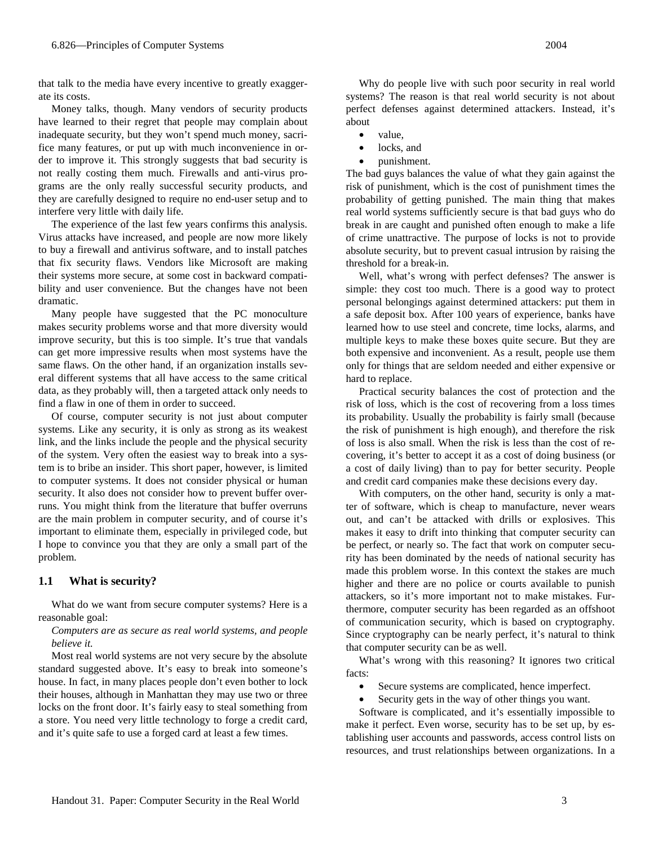that talk to the media have every incentive to greatly exaggerate its costs.

Money talks, though. Many vendors of security products have learned to their regret that people may complain about inadequate security, but they won't spend much money, sacrifice many features, or put up with much inconvenience in order to improve it. This strongly suggests that bad security is not really costing them much. Firewalls and anti-virus programs are the only really successful security products, and they are carefully designed to require no end-user setup and to interfere very little with daily life.

The experience of the last few years confirms this analysis. Virus attacks have increased, and people are now more likely to buy a firewall and antivirus software, and to install patches that fix security flaws. Vendors like Microsoft are making their systems more secure, at some cost in backward compatibility and user convenience. But the changes have not been dramatic.

Many people have suggested that the PC monoculture makes security problems worse and that more diversity would improve security, but this is too simple. It's true that vandals can get more impressive results when most systems have the same flaws. On the other hand, if an organization installs several different systems that all have access to the same critical data, as they probably will, then a targeted attack only needs to find a flaw in one of them in order to succeed.

Of course, computer security is not just about computer systems. Like any security, it is only as strong as its weakest link, and the links include the people and the physical security of the system. Very often the easiest way to break into a system is to bribe an insider. This short paper, however, is limited to computer systems. It does not consider physical or human security. It also does not consider how to prevent buffer overruns. You might think from the literature that buffer overruns are the main problem in computer security, and of course it's important to eliminate them, especially in privileged code, but I hope to convince you that they are only a small part of the problem.

# **1.1 What is security?**

What do we want from secure computer systems? Here is a reasonable goal:

### *Computers are as secure as real world systems, and people believe it.*

Most real world systems are not very secure by the absolute standard suggested above. It's easy to break into someone's house. In fact, in many places people don't even bother to lock their houses, although in Manhattan they may use two or three locks on the front door. It's fairly easy to steal something from a store. You need very little technology to forge a credit card, and it's quite safe to use a forged card at least a few times.

Why do people live with such poor security in real world systems? The reason is that real world security is not about perfect defenses against determined attackers. Instead, it's about

- value,
- locks, and
- punishment.

The bad guys balances the value of what they gain against the risk of punishment, which is the cost of punishment times the probability of getting punished. The main thing that makes real world systems sufficiently secure is that bad guys who do break in are caught and punished often enough to make a life of crime unattractive. The purpose of locks is not to provide absolute security, but to prevent casual intrusion by raising the threshold for a break-in.

Well, what's wrong with perfect defenses? The answer is simple: they cost too much. There is a good way to protect personal belongings against determined attackers: put them in a safe deposit box. After 100 years of experience, banks have learned how to use steel and concrete, time locks, alarms, and multiple keys to make these boxes quite secure. But they are both expensive and inconvenient. As a result, people use them only for things that are seldom needed and either expensive or hard to replace.

Practical security balances the cost of protection and the risk of loss, which is the cost of recovering from a loss times its probability. Usually the probability is fairly small (because the risk of punishment is high enough), and therefore the risk of loss is also small. When the risk is less than the cost of recovering, it's better to accept it as a cost of doing business (or a cost of daily living) than to pay for better security. People and credit card companies make these decisions every day.

With computers, on the other hand, security is only a matter of software, which is cheap to manufacture, never wears out, and can't be attacked with drills or explosives. This makes it easy to drift into thinking that computer security can be perfect, or nearly so. The fact that work on computer security has been dominated by the needs of national security has made this problem worse. In this context the stakes are much higher and there are no police or courts available to punish attackers, so it's more important not to make mistakes. Furthermore, computer security has been regarded as an offshoot of communication security, which is based on cryptography. Since cryptography can be nearly perfect, it's natural to think that computer security can be as well.

What's wrong with this reasoning? It ignores two critical facts:

- Secure systems are complicated, hence imperfect.
- Security gets in the way of other things you want.

Software is complicated, and it's essentially impossible to make it perfect. Even worse, security has to be set up, by establishing user accounts and passwords, access control lists on resources, and trust relationships between organizations. In a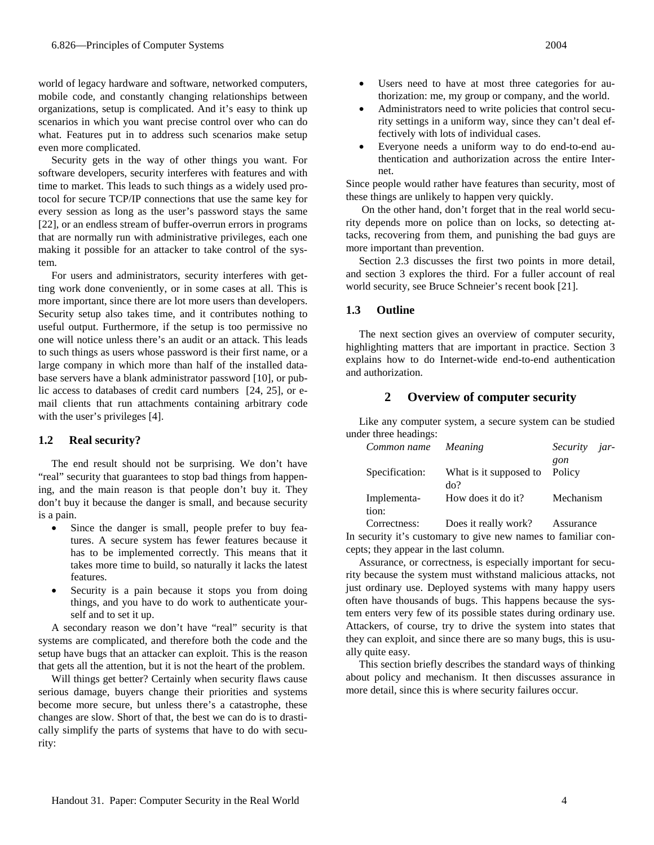world of legacy hardware and software, networked computers, mobile code, and constantly changing relationships between organizations, setup is complicated. And it's easy to think up scenarios in which you want precise control over who can do what. Features put in to address such scenarios make setup even more complicated.

Security gets in the way of other things you want. For software developers, security interferes with features and with time to market. This leads to such things as a widely used protocol for secure TCP/IP connections that use the same key for every session as long as the user's password stays the same [22], or an endless stream of buffer-overrun errors in programs that are normally run with administrative privileges, each one making it possible for an attacker to take control of the system.

For users and administrators, security interferes with getting work done conveniently, or in some cases at all. This is more important, since there are lot more users than developers. Security setup also takes time, and it contributes nothing to useful output. Furthermore, if the setup is too permissive no one will notice unless there's an audit or an attack. This leads to such things as users whose password is their first name, or a large company in which more than half of the installed database servers have a blank administrator password [10], or public access to databases of credit card numbers [24, 25], or email clients that run attachments containing arbitrary code with the user's privileges [4].

## **1.2 Real security?**

The end result should not be surprising. We don't have "real" security that guarantees to stop bad things from happening, and the main reason is that people don't buy it. They don't buy it because the danger is small, and because security is a pain.

- Since the danger is small, people prefer to buy features. A secure system has fewer features because it has to be implemented correctly. This means that it takes more time to build, so naturally it lacks the latest features.
- Security is a pain because it stops you from doing things, and you have to do work to authenticate yourself and to set it up.

A secondary reason we don't have "real" security is that systems are complicated, and therefore both the code and the setup have bugs that an attacker can exploit. This is the reason that gets all the attention, but it is not the heart of the problem.

Will things get better? Certainly when security flaws cause serious damage, buyers change their priorities and systems become more secure, but unless there's a catastrophe, these changes are slow. Short of that, the best we can do is to drastically simplify the parts of systems that have to do with security:

- Users need to have at most three categories for authorization: me, my group or company, and the world.
- Administrators need to write policies that control security settings in a uniform way, since they can't deal effectively with lots of individual cases.
- Everyone needs a uniform way to do end-to-end authentication and authorization across the entire Internet.

Since people would rather have features than security, most of these things are unlikely to happen very quickly.

 On the other hand, don't forget that in the real world security depends more on police than on locks, so detecting attacks, recovering from them, and punishing the bad guys are more important than prevention.

Section 2.3 discusses the first two points in more detail, and section 3 explores the third. For a fuller account of real world security, see Bruce Schneier's recent book [21].

## **1.3 Outline**

The next section gives an overview of computer security, highlighting matters that are important in practice. Section 3 explains how to do Internet-wide end-to-end authentication and authorization.

# **2 Overview of computer security**

Like any computer system, a secure system can be studied under three headings:

| Common name    | Meaning                | Security jar- |
|----------------|------------------------|---------------|
|                |                        | gon           |
| Specification: | What is it supposed to | Policy        |
|                | do?                    |               |
| Implementa-    | How does it do it?     | Mechanism     |
| tion:          |                        |               |
| Correctness:   | Does it really work?   | Assurance     |

In security it's customary to give new names to familiar concepts; they appear in the last column.

Assurance, or correctness, is especially important for security because the system must withstand malicious attacks, not just ordinary use. Deployed systems with many happy users often have thousands of bugs. This happens because the system enters very few of its possible states during ordinary use. Attackers, of course, try to drive the system into states that they can exploit, and since there are so many bugs, this is usually quite easy.

This section briefly describes the standard ways of thinking about policy and mechanism. It then discusses assurance in more detail, since this is where security failures occur.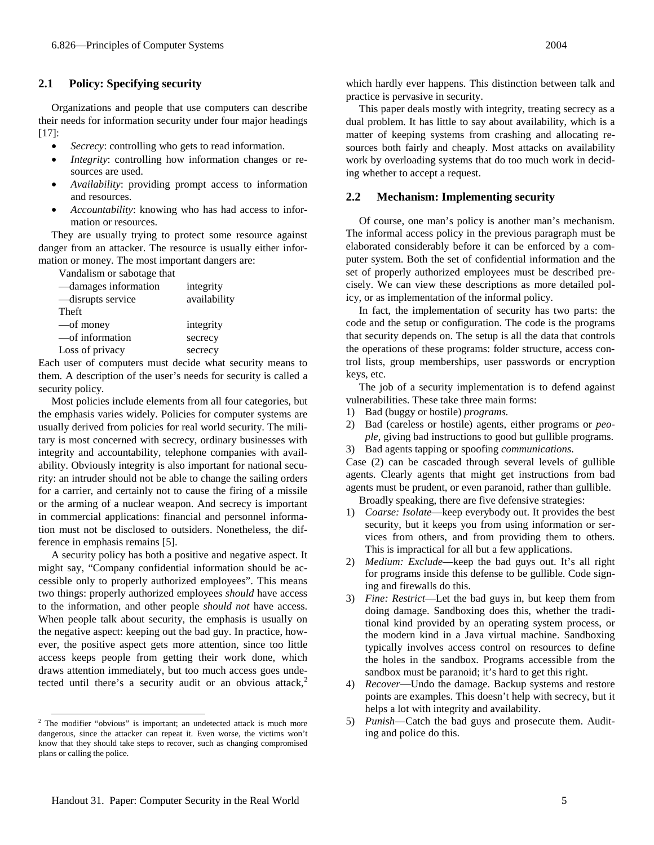## **2.1 Policy: Specifying security**

Organizations and people that use computers can describe their needs for information security under four major headings [17]:

- Secrecy: controlling who gets to read information.
- *Integrity*: controlling how information changes or resources are used.
- *Availability*: providing prompt access to information and resources.
- *Accountability*: knowing who has had access to information or resources.

They are usually trying to protect some resource against danger from an attacker. The resource is usually either information or money. The most important dangers are:

Vandalism or sabotage that

| -damages information | integrity    |
|----------------------|--------------|
| -disrupts service    | availability |
| Theft                |              |
| —of money            | integrity    |
| —of information      | secrecy      |
| Loss of privacy      | secrecy      |

Each user of computers must decide what security means to them. A description of the user's needs for security is called a security policy.

Most policies include elements from all four categories, but the emphasis varies widely. Policies for computer systems are usually derived from policies for real world security. The military is most concerned with secrecy, ordinary businesses with integrity and accountability, telephone companies with availability. Obviously integrity is also important for national security: an intruder should not be able to change the sailing orders for a carrier, and certainly not to cause the firing of a missile or the arming of a nuclear weapon. And secrecy is important in commercial applications: financial and personnel information must not be disclosed to outsiders. Nonetheless, the difference in emphasis remains [5].

A security policy has both a positive and negative aspect. It might say, "Company confidential information should be accessible only to properly authorized employees". This means two things: properly authorized employees *should* have access to the information, and other people *should not* have access. When people talk about security, the emphasis is usually on the negative aspect: keeping out the bad guy. In practice, however, the positive aspect gets more attention, since too little access keeps people from getting their work done, which draws attention immediately, but too much access goes undetected until there's a security audit or an obvious attack,<sup>2</sup>

which hardly ever happens. This distinction between talk and practice is pervasive in security.

This paper deals mostly with integrity, treating secrecy as a dual problem. It has little to say about availability, which is a matter of keeping systems from crashing and allocating resources both fairly and cheaply. Most attacks on availability work by overloading systems that do too much work in deciding whether to accept a request.

#### **2.2 Mechanism: Implementing security**

Of course, one man's policy is another man's mechanism. The informal access policy in the previous paragraph must be elaborated considerably before it can be enforced by a computer system. Both the set of confidential information and the set of properly authorized employees must be described precisely. We can view these descriptions as more detailed policy, or as implementation of the informal policy.

In fact, the implementation of security has two parts: the code and the setup or configuration. The code is the programs that security depends on. The setup is all the data that controls the operations of these programs: folder structure, access control lists, group memberships, user passwords or encryption keys, etc.

The job of a security implementation is to defend against vulnerabilities. These take three main forms:

- 1) Bad (buggy or hostile) *programs.*
- 2) Bad (careless or hostile) agents, either programs or *people*, giving bad instructions to good but gullible programs.
- 3) Bad agents tapping or spoofing *communications*.

Case (2) can be cascaded through several levels of gullible agents. Clearly agents that might get instructions from bad agents must be prudent, or even paranoid, rather than gullible. Broadly speaking, there are five defensive strategies:

- 1) *Coarse: Isolate*—keep everybody out. It provides the best security, but it keeps you from using information or services from others, and from providing them to others. This is impractical for all but a few applications.
- 2) *Medium: Exclude*—keep the bad guys out. It's all right for programs inside this defense to be gullible. Code signing and firewalls do this.
- 3) *Fine: Restrict*—Let the bad guys in, but keep them from doing damage. Sandboxing does this, whether the traditional kind provided by an operating system process, or the modern kind in a Java virtual machine. Sandboxing typically involves access control on resources to define the holes in the sandbox. Programs accessible from the sandbox must be paranoid; it's hard to get this right.
- 4) *Recover*—Undo the damage. Backup systems and restore points are examples. This doesn't help with secrecy, but it helps a lot with integrity and availability.
- 5) *Punish*—Catch the bad guys and prosecute them. Auditing and police do this.

<sup>&</sup>lt;sup>2</sup> The modifier "obvious" is important; an undetected attack is much more dangerous, since the attacker can repeat it. Even worse, the victims won't know that they should take steps to recover, such as changing compromised plans or calling the police.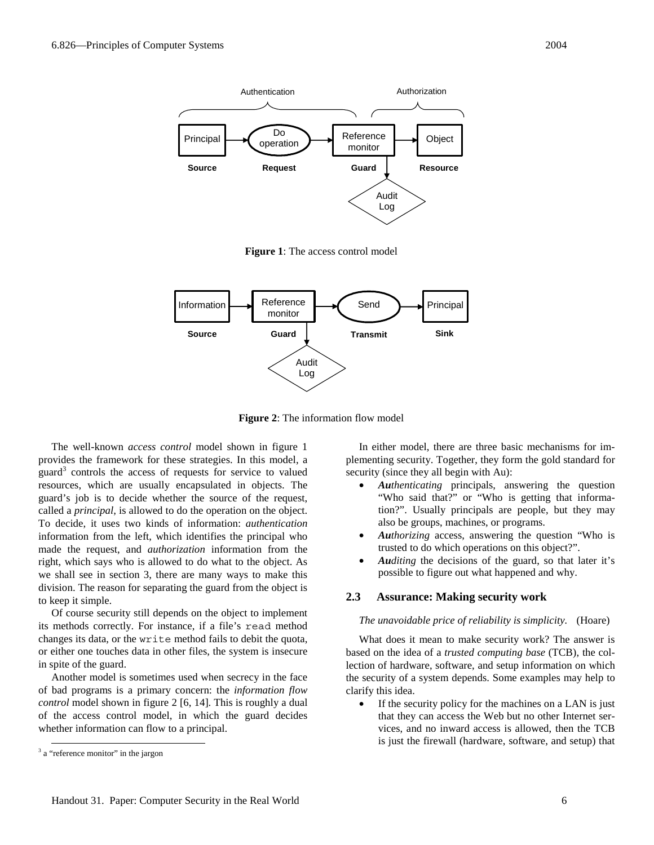

**Figure 1**: The access control model



**Figure 2**: The information flow model

The well-known *access control* model shown in figure 1 provides the framework for these strategies. In this model, a guard<sup>3</sup> controls the access of requests for service to valued resources, which are usually encapsulated in objects. The guard's job is to decide whether the source of the request, called a *principal*, is allowed to do the operation on the object. To decide, it uses two kinds of information: *authentication* information from the left, which identifies the principal who made the request, and *authorization* information from the right, which says who is allowed to do what to the object. As we shall see in section 3, there are many ways to make this division. The reason for separating the guard from the object is to keep it simple.

Of course security still depends on the object to implement its methods correctly. For instance, if a file's read method changes its data, or the write method fails to debit the quota, or either one touches data in other files, the system is insecure in spite of the guard.

Another model is sometimes used when secrecy in the face of bad programs is a primary concern: the *information flow control* model shown in figure 2 [6, 14]. This is roughly a dual of the access control model, in which the guard decides whether information can flow to a principal.

In either model, there are three basic mechanisms for implementing security. Together, they form the gold standard for security (since they all begin with Au):

- *Authenticating* principals, answering the question "Who said that?" or "Who is getting that information?". Usually principals are people, but they may also be groups, machines, or programs.
- *Authorizing* access, answering the question "Who is trusted to do which operations on this object?".
- *Auditing* the decisions of the guard, so that later it's possible to figure out what happened and why.

# **2.3 Assurance: Making security work**

## *The unavoidable price of reliability is simplicity.* (Hoare)

What does it mean to make security work? The answer is based on the idea of a *trusted computing base* (TCB), the collection of hardware, software, and setup information on which the security of a system depends. Some examples may help to clarify this idea.

• If the security policy for the machines on a LAN is just that they can access the Web but no other Internet services, and no inward access is allowed, then the TCB is just the firewall (hardware, software, and setup) that

<sup>&</sup>lt;sup>3</sup> a "reference monitor" in the jargon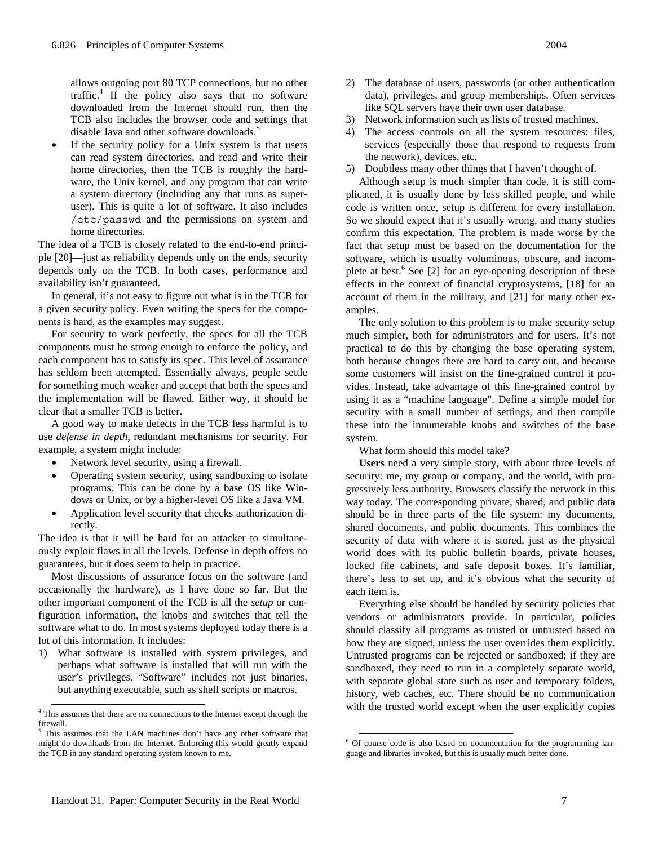allows outgoing port 80 TCP connections, but no other traffic.<sup>4</sup> If the policy also says that no software downloaded from the Internet should run, then the TCB also includes the browser code and settings that disable Java and other software downloads.<sup>5</sup>

If the security policy for a Unix system is that users can read system directories, and read and write their home directories, then the TCB is roughly the hardware, the Unix kernel, and any program that can write a system directory (including any that runs as superuser). This is quite a lot of software. It also includes /etc/passwd and the permissions on system and home directories.

The idea of a TCB is closely related to the end-to-end principle [20]—just as reliability depends only on the ends, security depends only on the TCB. In both cases, performance and availability isn't guaranteed.

In general, it's not easy to figure out what is in the TCB for a given security policy. Even writing the specs for the components is hard, as the examples may suggest.

For security to work perfectly, the specs for all the TCB components must be strong enough to enforce the policy, and each component has to satisfy its spec. This level of assurance has seldom been attempted. Essentially always, people settle for something much weaker and accept that both the specs and the implementation will be flawed. Either way, it should be clear that a smaller TCB is better.

A good way to make defects in the TCB less harmful is to use *defense in depth*, redundant mechanisms for security. For example, a system might include:

- Network level security, using a firewall.
- Operating system security, using sandboxing to isolate programs. This can be done by a base OS like Windows or Unix, or by a higher-level OS like a Java VM.
- Application level security that checks authorization directly.

The idea is that it will be hard for an attacker to simultaneously exploit flaws in all the levels. Defense in depth offers no guarantees, but it does seem to help in practice.

Most discussions of assurance focus on the software (and occasionally the hardware), as I have done so far. But the other important component of the TCB is all the *setup* or configuration information, the knobs and switches that tell the software what to do. In most systems deployed today there is a lot of this information. It includes:

1) What software is installed with system privileges, and perhaps what software is installed that will run with the user's privileges. "Software" includes not just binaries, but anything executable, such as shell scripts or macros.

- 2) The database of users, passwords (or other authentication data), privileges, and group memberships. Often services like SQL servers have their own user database.
- 3) Network information such as lists of trusted machines.
- 4) The access controls on all the system resources: files, services (especially those that respond to requests from the network), devices, etc.
- 5) Doubtless many other things that I haven't thought of.

Although setup is much simpler than code, it is still complicated, it is usually done by less skilled people, and while code is written once, setup is different for every installation. So we should expect that it's usually wrong, and many studies confirm this expectation. The problem is made worse by the fact that setup must be based on the documentation for the software, which is usually voluminous, obscure, and incomplete at best.<sup>6</sup> See [2] for an eye-opening description of these effects in the context of financial cryptosystems, [18] for an account of them in the military, and [21] for many other examples.

The only solution to this problem is to make security setup much simpler, both for administrators and for users. It's not practical to do this by changing the base operating system, both because changes there are hard to carry out, and because some customers will insist on the fine-grained control it provides. Instead, take advantage of this fine-grained control by using it as a "machine language". Define a simple model for security with a small number of settings, and then compile these into the innumerable knobs and switches of the base system.

What form should this model take?

**Users** need a very simple story, with about three levels of security: me, my group or company, and the world, with progressively less authority. Browsers classify the network in this way today. The corresponding private, shared, and public data should be in three parts of the file system: my documents, shared documents, and public documents. This combines the security of data with where it is stored, just as the physical world does with its public bulletin boards, private houses, locked file cabinets, and safe deposit boxes. It's familiar, there's less to set up, and it's obvious what the security of each item is.

Everything else should be handled by security policies that vendors or administrators provide. In particular, policies should classify all programs as trusted or untrusted based on how they are signed, unless the user overrides them explicitly. Untrusted programs can be rejected or sandboxed; if they are sandboxed, they need to run in a completely separate world, with separate global state such as user and temporary folders, history, web caches, etc. There should be no communication with the trusted world except when the user explicitly copies

 <sup>4</sup> This assumes that there are no connections to the Internet except through the firewall.

<sup>&</sup>lt;sup>5</sup> This assumes that the LAN machines don't have any other software that might do downloads from the Internet. Enforcing this would greatly expand the TCB in any standard operating system known to me.

 <sup>6</sup> Of course code is also based on documentation for the programming language and libraries invoked, but this is usually much better done.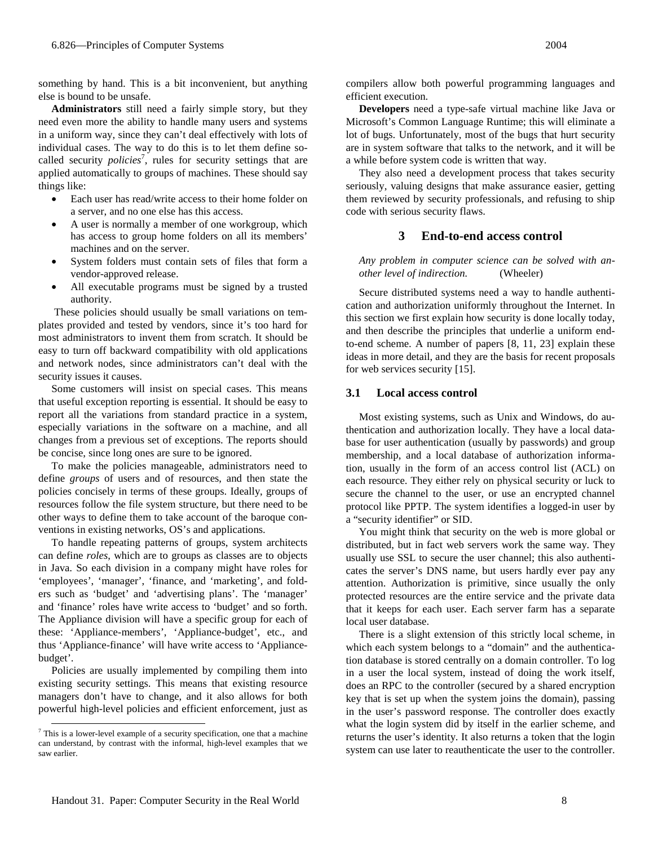something by hand. This is a bit inconvenient, but anything else is bound to be unsafe.

**Administrators** still need a fairly simple story, but they need even more the ability to handle many users and systems in a uniform way, since they can't deal effectively with lots of individual cases. The way to do this is to let them define socalled security *policies*<sup>7</sup>, rules for security settings that are applied automatically to groups of machines. These should say things like:

- Each user has read/write access to their home folder on a server, and no one else has this access.
- A user is normally a member of one workgroup, which has access to group home folders on all its members' machines and on the server.
- System folders must contain sets of files that form a vendor-approved release.
- All executable programs must be signed by a trusted authority.

 These policies should usually be small variations on templates provided and tested by vendors, since it's too hard for most administrators to invent them from scratch. It should be easy to turn off backward compatibility with old applications and network nodes, since administrators can't deal with the security issues it causes.

Some customers will insist on special cases. This means that useful exception reporting is essential. It should be easy to report all the variations from standard practice in a system, especially variations in the software on a machine, and all changes from a previous set of exceptions. The reports should be concise, since long ones are sure to be ignored.

To make the policies manageable, administrators need to define *groups* of users and of resources, and then state the policies concisely in terms of these groups. Ideally, groups of resources follow the file system structure, but there need to be other ways to define them to take account of the baroque conventions in existing networks, OS's and applications.

To handle repeating patterns of groups, system architects can define *roles*, which are to groups as classes are to objects in Java. So each division in a company might have roles for 'employees', 'manager', 'finance, and 'marketing', and folders such as 'budget' and 'advertising plans'. The 'manager' and 'finance' roles have write access to 'budget' and so forth. The Appliance division will have a specific group for each of these: 'Appliance-members', 'Appliance-budget', etc., and thus 'Appliance-finance' will have write access to 'Appliancebudget'.

Policies are usually implemented by compiling them into existing security settings. This means that existing resource managers don't have to change, and it also allows for both powerful high-level policies and efficient enforcement, just as compilers allow both powerful programming languages and efficient execution.

**Developers** need a type-safe virtual machine like Java or Microsoft's Common Language Runtime; this will eliminate a lot of bugs. Unfortunately, most of the bugs that hurt security are in system software that talks to the network, and it will be a while before system code is written that way.

They also need a development process that takes security seriously, valuing designs that make assurance easier, getting them reviewed by security professionals, and refusing to ship code with serious security flaws.

# **3 End-to-end access control**

*Any problem in computer science can be solved with another level of indirection.* (Wheeler)

Secure distributed systems need a way to handle authentication and authorization uniformly throughout the Internet. In this section we first explain how security is done locally today, and then describe the principles that underlie a uniform endto-end scheme. A number of papers [8, 11, 23] explain these ideas in more detail, and they are the basis for recent proposals for web services security [15].

# **3.1 Local access control**

Most existing systems, such as Unix and Windows, do authentication and authorization locally. They have a local database for user authentication (usually by passwords) and group membership, and a local database of authorization information, usually in the form of an access control list (ACL) on each resource. They either rely on physical security or luck to secure the channel to the user, or use an encrypted channel protocol like PPTP. The system identifies a logged-in user by a "security identifier" or SID.

You might think that security on the web is more global or distributed, but in fact web servers work the same way. They usually use SSL to secure the user channel; this also authenticates the server's DNS name, but users hardly ever pay any attention. Authorization is primitive, since usually the only protected resources are the entire service and the private data that it keeps for each user. Each server farm has a separate local user database.

There is a slight extension of this strictly local scheme, in which each system belongs to a "domain" and the authentication database is stored centrally on a domain controller. To log in a user the local system, instead of doing the work itself, does an RPC to the controller (secured by a shared encryption key that is set up when the system joins the domain), passing in the user's password response. The controller does exactly what the login system did by itself in the earlier scheme, and returns the user's identity. It also returns a token that the login system can use later to reauthenticate the user to the controller.

 <sup>7</sup> This is a lower-level example of a security specification, one that a machine can understand, by contrast with the informal, high-level examples that we saw earlier.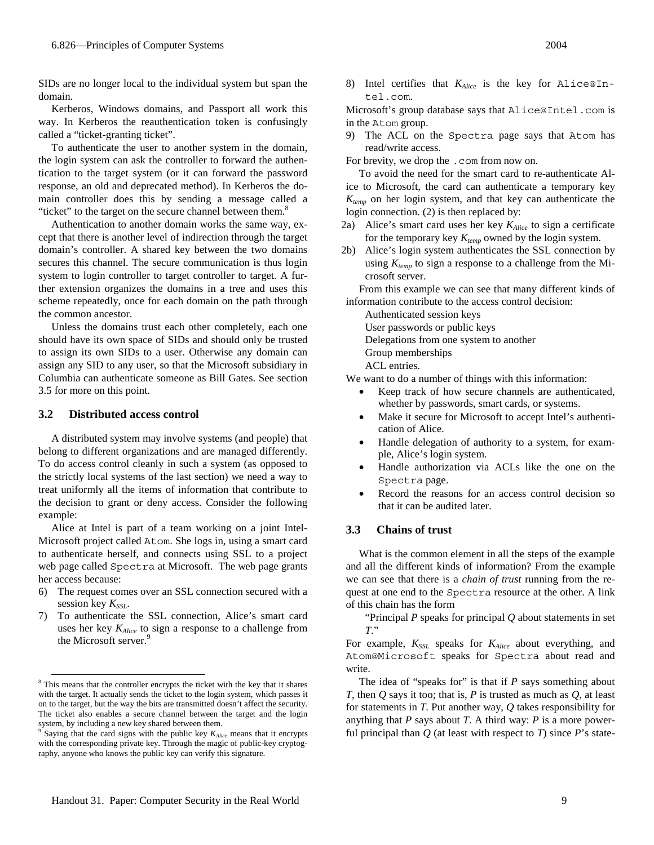SIDs are no longer local to the individual system but span the domain.

Kerberos, Windows domains, and Passport all work this way. In Kerberos the reauthentication token is confusingly called a "ticket-granting ticket".

To authenticate the user to another system in the domain, the login system can ask the controller to forward the authentication to the target system (or it can forward the password response, an old and deprecated method). In Kerberos the domain controller does this by sending a message called a "ticket" to the target on the secure channel between them.<sup>8</sup>

Authentication to another domain works the same way, except that there is another level of indirection through the target domain's controller. A shared key between the two domains secures this channel. The secure communication is thus login system to login controller to target controller to target. A further extension organizes the domains in a tree and uses this scheme repeatedly, once for each domain on the path through the common ancestor.

Unless the domains trust each other completely, each one should have its own space of SIDs and should only be trusted to assign its own SIDs to a user. Otherwise any domain can assign any SID to any user, so that the Microsoft subsidiary in Columbia can authenticate someone as Bill Gates. See section 3.5 for more on this point.

#### **3.2 Distributed access control**

A distributed system may involve systems (and people) that belong to different organizations and are managed differently. To do access control cleanly in such a system (as opposed to the strictly local systems of the last section) we need a way to treat uniformly all the items of information that contribute to the decision to grant or deny access. Consider the following example:

Alice at Intel is part of a team working on a joint Intel-Microsoft project called Atom. She logs in, using a smart card to authenticate herself, and connects using SSL to a project web page called Spectra at Microsoft. The web page grants her access because:

- 6) The request comes over an SSL connection secured with a session key  $K_{SSL}$ .
- 7) To authenticate the SSL connection, Alice's smart card uses her key *KAlice* to sign a response to a challenge from the Microsoft server.<sup>9</sup>

8) Intel certifies that *KAlice* is the key for Alice@Intel.com.

Microsoft's group database says that Alice@Intel.com is in the Atom group.

9) The ACL on the Spectra page says that Atom has read/write access.

For brevity, we drop the .com from now on.

To avoid the need for the smart card to re-authenticate Alice to Microsoft, the card can authenticate a temporary key *Ktemp* on her login system, and that key can authenticate the login connection. (2) is then replaced by:

- 2a) Alice's smart card uses her key *KAlice* to sign a certificate for the temporary key  $K_{temp}$  owned by the login system.
- 2b) Alice's login system authenticates the SSL connection by using  $K_{temp}$  to sign a response to a challenge from the Microsoft server.

From this example we can see that many different kinds of information contribute to the access control decision:

Authenticated session keys

User passwords or public keys

Delegations from one system to another

Group memberships

ACL entries.

We want to do a number of things with this information:

- Keep track of how secure channels are authenticated, whether by passwords, smart cards, or systems.
- Make it secure for Microsoft to accept Intel's authentication of Alice.
- Handle delegation of authority to a system, for example, Alice's login system.
- Handle authorization via ACLs like the one on the Spectra page.
- Record the reasons for an access control decision so that it can be audited later.

# **3.3 Chains of trust**

What is the common element in all the steps of the example and all the different kinds of information? From the example we can see that there is a *chain of trust* running from the request at one end to the Spectra resource at the other. A link of this chain has the form

"Principal *P* speaks for principal *Q* about statements in set *T*."

For example,  $K_{SSL}$  speaks for  $K_{Alice}$  about everything, and Atom@Microsoft speaks for Spectra about read and write.

The idea of "speaks for" is that if *P* says something about *T*, then *Q* says it too; that is, *P* is trusted as much as *Q*, at least for statements in *T*. Put another way, *Q* takes responsibility for anything that *P* says about *T*. A third way: *P* is a more powerful principal than  $Q$  (at least with respect to  $T$ ) since  $P$ 's state-

<sup>&</sup>lt;sup>8</sup> This means that the controller encrypts the ticket with the key that it shares with the target. It actually sends the ticket to the login system, which passes it on to the target, but the way the bits are transmitted doesn't affect the security. The ticket also enables a secure channel between the target and the login system, by including a new key shared between them.

<sup>&</sup>lt;sup>9</sup> Saying that the card signs with the public key  $K_{Alice}$  means that it encrypts with the corresponding private key. Through the magic of public-key cryptography, anyone who knows the public key can verify this signature.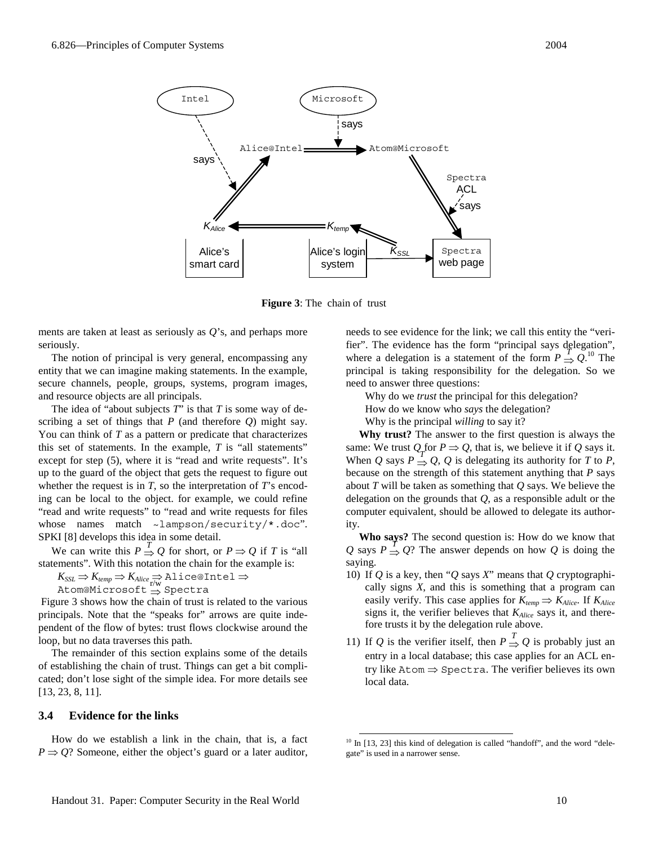

**Figure 3**: The chain of trust

ments are taken at least as seriously as *Q*'s, and perhaps more seriously.

The notion of principal is very general, encompassing any entity that we can imagine making statements. In the example, secure channels, people, groups, systems, program images, and resource objects are all principals.

The idea of "about subjects *T*" is that *T* is some way of describing a set of things that *P* (and therefore *Q*) might say. You can think of *T* as a pattern or predicate that characterizes this set of statements. In the example, *T* is "all statements" except for step (5), where it is "read and write requests". It's up to the guard of the object that gets the request to figure out whether the request is in *T*, so the interpretation of *T*'s encoding can be local to the object. for example, we could refine "read and write requests" to "read and write requests for files whose names match ~lampson/security/\*.doc". SPKI [8] develops this idea in some detail.

We can write this  $P \stackrel{T}{\Rightarrow} Q$  for short, or  $P \Rightarrow Q$  if *T* is "all statements". With this notation the chain for the example is:

 $K_{SSL} \Rightarrow K_{temp} \Rightarrow K_{Alice} \Rightarrow$  Alice@Intel  $\Rightarrow$ 

<sub>--352</sub> / --<sub>2000</sub> / --<sub>2000</sub> / ---<br>Atom@Microsoft ⇒ Spectra

 Figure 3 shows how the chain of trust is related to the various principals. Note that the "speaks for" arrows are quite independent of the flow of bytes: trust flows clockwise around the loop, but no data traverses this path.

The remainder of this section explains some of the details of establishing the chain of trust. Things can get a bit complicated; don't lose sight of the simple idea. For more details see [13, 23, 8, 11].

## **3.4 Evidence for the links**

How do we establish a link in the chain, that is, a fact  $P \Rightarrow Q$ ? Someone, either the object's guard or a later auditor, needs to see evidence for the link; we call this entity the "verifier". The evidence has the form "principal says delegation", where a delegation is a statement of the form  $P \Rightarrow Q$ .<sup>10</sup> The principal is taking responsibility for the delegation. So we need to answer three questions:

Why do we *trust* the principal for this delegation?

How do we know who *says* the delegation?

Why is the principal *willing* to say it?

**Why trust?** The answer to the first question is always the same: We trust  $Q_T$  for  $P \Rightarrow Q$ , that is, we believe it if  $Q$  says it. When *Q* says  $P \Rightarrow Q$ , *Q* is delegating its authority for *T* to *P*, because on the strength of this statement anything that *P* says about *T* will be taken as something that *Q* says. We believe the delegation on the grounds that *Q*, as a responsible adult or the computer equivalent, should be allowed to delegate its authority.

**Who says?** The second question is: How do we know that *Q* says  $P \Rightarrow Q$ ? The answer depends on how *Q* is doing the saying.

- 10) If *Q* is a key, then "*Q* says *X*" means that *Q* cryptographically signs *X*, and this is something that a program can easily verify. This case applies for  $K_{temp} \Rightarrow K_{Alice}$ . If  $K_{Alice}$ signs it, the verifier believes that *KAlice* says it, and therefore trusts it by the delegation rule above.
- 11) If *Q* is the verifier itself, then  $P \stackrel{T}{\Rightarrow} Q$  is probably just an entry in a local database; this case applies for an ACL entry like  $A$ tom  $\Rightarrow$  Spectra. The verifier believes its own local data.

<sup>&</sup>lt;sup>10</sup> In [13, 23] this kind of delegation is called "handoff", and the word "delegate" is used in a narrower sense.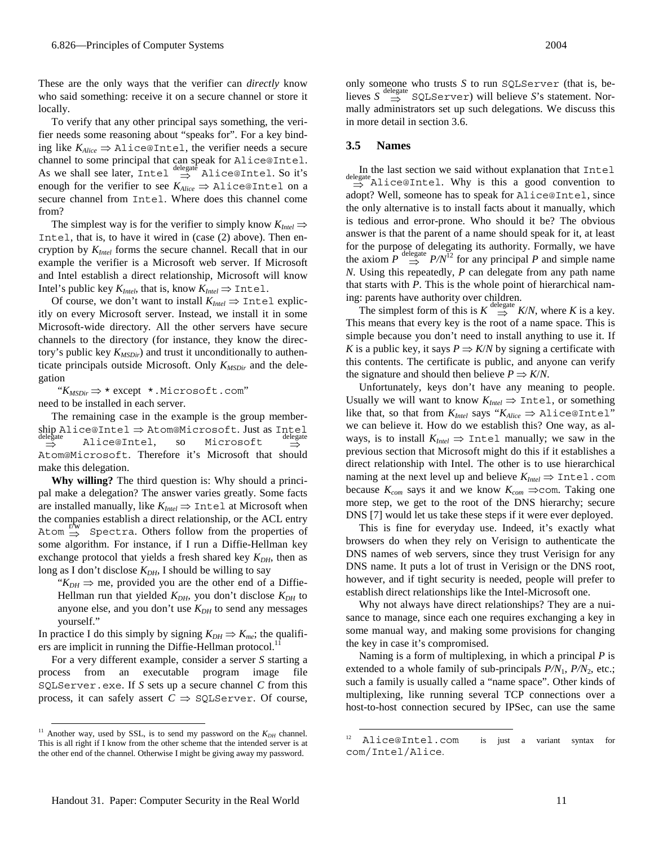These are the only ways that the verifier can *directly* know who said something: receive it on a secure channel or store it locally.

To verify that any other principal says something, the verifier needs some reasoning about "speaks for". For a key binding like  $K_{Alice} \Rightarrow$  Alice@Intel, the verifier needs a secure channel to some principal that can speak for Alice@Intel. As we shall see later, Intel  $\stackrel{\text{delegat}}{\Rightarrow}$  Alice@Intel. So it's enough for the verifier to see  $K_{Alice} \Rightarrow$  Alice@Intel on a secure channel from Intel. Where does this channel come from?

The simplest way is for the verifier to simply know  $K_{\text{Intel}} \Rightarrow$ Intel, that is, to have it wired in (case (2) above). Then encryption by *KIntel* forms the secure channel. Recall that in our example the verifier is a Microsoft web server. If Microsoft and Intel establish a direct relationship, Microsoft will know Intel's public key  $K_{\text{Intel}}$ , that is, know  $K_{\text{Intel}} \Rightarrow$  Intel.

Of course, we don't want to install  $K_{Intel} \Rightarrow$  Intel explicitly on every Microsoft server. Instead, we install it in some Microsoft-wide directory. All the other servers have secure channels to the directory (for instance, they know the directory's public key  $K_{MSDir}$ ) and trust it unconditionally to authenticate principals outside Microsoft. Only  $K_{MSDir}$  and the delegation

"*KMSDir* ⇒ \* except \*.Microsoft.com" need to be installed in each server.

The remaining case in the example is the group membership Alice@Intel ⇒ Atom@Microsoft. Just as Intel  $\Rightarrow$ Alice@Intel, so Microsoft ⇒ Atom@Microsoft. Therefore it's Microsoft that should make this delegation.

**Why willing?** The third question is: Why should a principal make a delegation? The answer varies greatly. Some facts are installed manually, like  $K_{Intel} \Rightarrow$  Intel at Microsoft when the companies establish a direct relationship, or the ACL entry  $A$ tom  $\Rightarrow$  Spectra. Others follow from the properties of some algorithm. For instance, if I run a Diffie-Hellman key exchange protocol that yields a fresh shared key  $K_{DH}$ , then as long as I don't disclose  $K_{DH}$ , I should be willing to say

" $K_{DH} \Rightarrow$  me, provided you are the other end of a Diffie-Hellman run that yielded  $K_{DH}$ , you don't disclose  $K_{DH}$  to anyone else, and you don't use  $K_{DH}$  to send any messages yourself."

In practice I do this simply by signing  $K_{DH} \Rightarrow K_{me}$ ; the qualifiers are implicit in running the Diffie-Hellman protocol.<sup>11</sup>

For a very different example, consider a server *S* starting a process from an executable program image file SQLServer.exe. If *S* sets up a secure channel *C* from this process, it can safely assert  $C \Rightarrow$  SQLServer. Of course,

only someone who trusts *S* to run SQLServer (that is, believes  $S \stackrel{\text{delegate}}{\Rightarrow}$  SQLServer) will believe *S*'s statement. Normally administrators set up such delegations. We discuss this

#### **3.5 Names**

in more detail in section 3.6.

In the last section we said without explanation that Intel delegate ⇒ Alice@Intel. Why is this a good convention to adopt? Well, someone has to speak for Alice@Intel, since the only alternative is to install facts about it manually, which is tedious and error-prone. Who should it be? The obvious answer is that the parent of a name should speak for it, at least for the purpose of delegating its authority. Formally, we have the axiom  $P \stackrel{\text{delegate}}{\Rightarrow} P/N^{12}$  for any principal *P* and simple name *N*. Using this repeatedly, *P* can delegate from any path name that starts with *P*. This is the whole point of hierarchical naming: parents have authority over children.

The simplest form of this is  $K \stackrel{\text{delegate}}{\Rightarrow} K/N$ , where *K* is a key. This means that every key is the root of a name space. This is simple because you don't need to install anything to use it. If *K* is a public key, it says  $P \Rightarrow K/N$  by signing a certificate with this contents. The certificate is public, and anyone can verify the signature and should then believe  $P \Rightarrow K/N$ .

Unfortunately, keys don't have any meaning to people. Usually we will want to know  $K_{\text{Intel}} \Rightarrow$  Intel, or something like that, so that from  $K_{Intel}$  says " $K_{Alice} \Rightarrow$  Alice@Intel" we can believe it. How do we establish this? One way, as always, is to install  $K_{Intel} \implies$  Intel manually; we saw in the previous section that Microsoft might do this if it establishes a direct relationship with Intel. The other is to use hierarchical naming at the next level up and believe  $K_{\text{Intel}} \Rightarrow$  Intel.com because  $K_{com}$  says it and we know  $K_{com} \implies$ com. Taking one more step, we get to the root of the DNS hierarchy; secure DNS [7] would let us take these steps if it were ever deployed.

This is fine for everyday use. Indeed, it's exactly what browsers do when they rely on Verisign to authenticate the DNS names of web servers, since they trust Verisign for any DNS name. It puts a lot of trust in Verisign or the DNS root, however, and if tight security is needed, people will prefer to establish direct relationships like the Intel-Microsoft one.

Why not always have direct relationships? They are a nuisance to manage, since each one requires exchanging a key in some manual way, and making some provisions for changing the key in case it's compromised.

Naming is a form of multiplexing, in which a principal *P* is extended to a whole family of sub-principals  $P/N_1$ ,  $P/N_2$ , etc.; such a family is usually called a "name space". Other kinds of multiplexing, like running several TCP connections over a host-to-host connection secured by IPSec, can use the same

<sup>&</sup>lt;sup>11</sup> Another way, used by SSL, is to send my password on the  $K_{DH}$  channel. This is all right if I know from the other scheme that the intended server is at the other end of the channel. Otherwise I might be giving away my password.

 <sup>12</sup> Alice@Intel.com is just a variant syntax for com/Intel/Alice.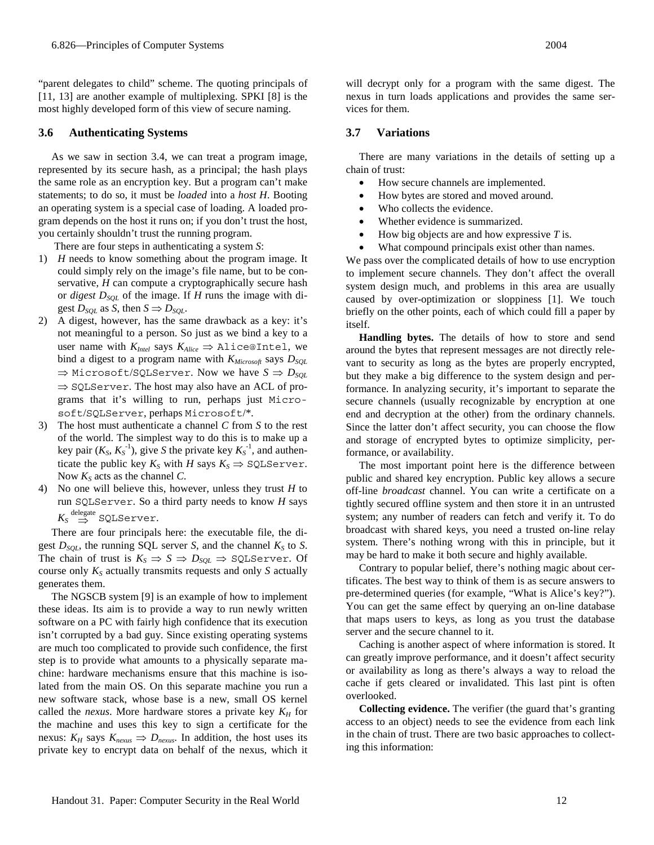"parent delegates to child" scheme. The quoting principals of [11, 13] are another example of multiplexing. SPKI [8] is the most highly developed form of this view of secure naming.

### **3.6 Authenticating Systems**

As we saw in section 3.4, we can treat a program image, represented by its secure hash, as a principal; the hash plays the same role as an encryption key. But a program can't make statements; to do so, it must be *loaded* into a *host H*. Booting an operating system is a special case of loading. A loaded program depends on the host it runs on; if you don't trust the host, you certainly shouldn't trust the running program.

There are four steps in authenticating a system *S*:

- 1) *H* needs to know something about the program image. It could simply rely on the image's file name, but to be conservative, *H* can compute a cryptographically secure hash or *digest*  $D_{SQL}$  of the image. If *H* runs the image with digest  $D_{SOL}$  as *S*, then  $S \Rightarrow D_{SOL}$ .
- 2) A digest, however, has the same drawback as a key: it's not meaningful to a person. So just as we bind a key to a user name with  $K_{Intel}$  says  $K_{Alice} \Rightarrow$  Alice@Intel, we bind a digest to a program name with  $K_{Microsoft}$  says  $D_{SOL}$  $\Rightarrow$  Microsoft/SQLServer. Now we have  $S \Rightarrow D_{SOL}$ ⇒ SQLServer. The host may also have an ACL of programs that it's willing to run, perhaps just Microsoft/SQLServer, perhaps Microsoft/\*.
- 3) The host must authenticate a channel *C* from *S* to the rest of the world. The simplest way to do this is to make up a key pair  $(K_S, K_S^{-1})$ , give *S* the private key  $K_S^{-1}$ , and authenticate the public key  $K_S$  with *H* says  $K_S \Rightarrow$  SQLServer. Now  $K<sub>S</sub>$  acts as the channel *C*.
- 4) No one will believe this, however, unless they trust *H* to run SQLServer. So a third party needs to know *H* says  $K_S \stackrel{\text{delegate}}{\Rightarrow} \texttt{SQLServer}.$

There are four principals here: the executable file, the digest  $D_{SQL}$ , the running SQL server *S*, and the channel  $K_S$  to *S*. The chain of trust is  $K_S \Rightarrow S \Rightarrow D_{SQL} \Rightarrow$  SQLServer. Of course only  $K_S$  actually transmits requests and only  $S$  actually generates them.

The NGSCB system [9] is an example of how to implement these ideas. Its aim is to provide a way to run newly written software on a PC with fairly high confidence that its execution isn't corrupted by a bad guy. Since existing operating systems are much too complicated to provide such confidence, the first step is to provide what amounts to a physically separate machine: hardware mechanisms ensure that this machine is isolated from the main OS. On this separate machine you run a new software stack, whose base is a new, small OS kernel called the *nexus*. More hardware stores a private key  $K_H$  for the machine and uses this key to sign a certificate for the nexus:  $K_H$  says  $K_{\text{nexus}} \Rightarrow D_{\text{nexus}}$ . In addition, the host uses its private key to encrypt data on behalf of the nexus, which it

will decrypt only for a program with the same digest. The nexus in turn loads applications and provides the same services for them.

### **3.7 Variations**

There are many variations in the details of setting up a chain of trust:

- How secure channels are implemented.
- How bytes are stored and moved around.
- Who collects the evidence.
- Whether evidence is summarized.
- How big objects are and how expressive *T* is.
- What compound principals exist other than names.

We pass over the complicated details of how to use encryption to implement secure channels. They don't affect the overall system design much, and problems in this area are usually caused by over-optimization or sloppiness [1]. We touch briefly on the other points, each of which could fill a paper by itself.

**Handling bytes.** The details of how to store and send around the bytes that represent messages are not directly relevant to security as long as the bytes are properly encrypted, but they make a big difference to the system design and performance. In analyzing security, it's important to separate the secure channels (usually recognizable by encryption at one end and decryption at the other) from the ordinary channels. Since the latter don't affect security, you can choose the flow and storage of encrypted bytes to optimize simplicity, performance, or availability.

The most important point here is the difference between public and shared key encryption. Public key allows a secure off-line *broadcast* channel. You can write a certificate on a tightly secured offline system and then store it in an untrusted system; any number of readers can fetch and verify it. To do broadcast with shared keys, you need a trusted on-line relay system. There's nothing wrong with this in principle, but it may be hard to make it both secure and highly available.

Contrary to popular belief, there's nothing magic about certificates. The best way to think of them is as secure answers to pre-determined queries (for example, "What is Alice's key?"). You can get the same effect by querying an on-line database that maps users to keys, as long as you trust the database server and the secure channel to it.

Caching is another aspect of where information is stored. It can greatly improve performance, and it doesn't affect security or availability as long as there's always a way to reload the cache if gets cleared or invalidated. This last pint is often overlooked.

**Collecting evidence.** The verifier (the guard that's granting access to an object) needs to see the evidence from each link in the chain of trust. There are two basic approaches to collecting this information: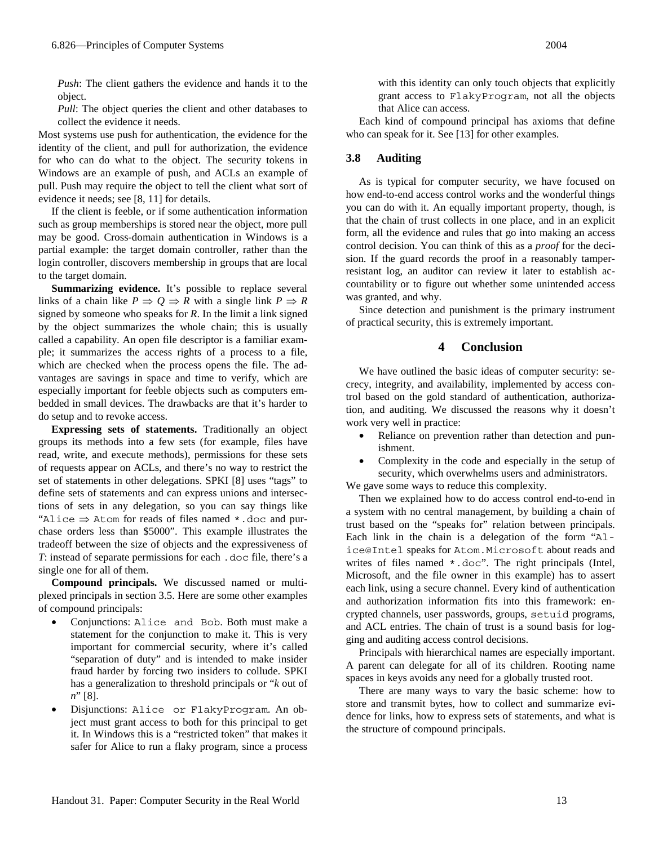*Push*: The client gathers the evidence and hands it to the object.

*Pull*: The object queries the client and other databases to collect the evidence it needs.

Most systems use push for authentication, the evidence for the identity of the client, and pull for authorization, the evidence for who can do what to the object. The security tokens in Windows are an example of push, and ACLs an example of pull. Push may require the object to tell the client what sort of evidence it needs; see [8, 11] for details.

If the client is feeble, or if some authentication information such as group memberships is stored near the object, more pull may be good. Cross-domain authentication in Windows is a partial example: the target domain controller, rather than the login controller, discovers membership in groups that are local to the target domain.

**Summarizing evidence.** It's possible to replace several links of a chain like  $P \Rightarrow Q \Rightarrow R$  with a single link  $P \Rightarrow R$ signed by someone who speaks for *R*. In the limit a link signed by the object summarizes the whole chain; this is usually called a capability. An open file descriptor is a familiar example; it summarizes the access rights of a process to a file, which are checked when the process opens the file. The advantages are savings in space and time to verify, which are especially important for feeble objects such as computers embedded in small devices. The drawbacks are that it's harder to do setup and to revoke access.

**Expressing sets of statements.** Traditionally an object groups its methods into a few sets (for example, files have read, write, and execute methods), permissions for these sets of requests appear on ACLs, and there's no way to restrict the set of statements in other delegations. SPKI [8] uses "tags" to define sets of statements and can express unions and intersections of sets in any delegation, so you can say things like "Alice  $\Rightarrow$  Atom for reads of files named  $*$ . doc and purchase orders less than \$5000". This example illustrates the tradeoff between the size of objects and the expressiveness of *T*: instead of separate permissions for each .doc file, there's a single one for all of them.

**Compound principals.** We discussed named or multiplexed principals in section 3.5. Here are some other examples of compound principals:

- Conjunctions: Alice and Bob. Both must make a statement for the conjunction to make it. This is very important for commercial security, where it's called "separation of duty" and is intended to make insider fraud harder by forcing two insiders to collude. SPKI has a generalization to threshold principals or "*k* out of *n*" [8].
- Disjunctions: Alice or FlakyProgram. An object must grant access to both for this principal to get it. In Windows this is a "restricted token" that makes it safer for Alice to run a flaky program, since a process

with this identity can only touch objects that explicitly grant access to FlakyProgram, not all the objects that Alice can access.

Each kind of compound principal has axioms that define who can speak for it. See [13] for other examples.

# **3.8 Auditing**

As is typical for computer security, we have focused on how end-to-end access control works and the wonderful things you can do with it. An equally important property, though, is that the chain of trust collects in one place, and in an explicit form, all the evidence and rules that go into making an access control decision. You can think of this as a *proof* for the decision. If the guard records the proof in a reasonably tamperresistant log, an auditor can review it later to establish accountability or to figure out whether some unintended access was granted, and why.

Since detection and punishment is the primary instrument of practical security, this is extremely important.

# **4 Conclusion**

We have outlined the basic ideas of computer security: secrecy, integrity, and availability, implemented by access control based on the gold standard of authentication, authorization, and auditing. We discussed the reasons why it doesn't work very well in practice:

- Reliance on prevention rather than detection and punishment.
- Complexity in the code and especially in the setup of security, which overwhelms users and administrators.

We gave some ways to reduce this complexity.

Then we explained how to do access control end-to-end in a system with no central management, by building a chain of trust based on the "speaks for" relation between principals. Each link in the chain is a delegation of the form "Alice@Intel speaks for Atom.Microsoft about reads and writes of files named \*.doc". The right principals (Intel, Microsoft, and the file owner in this example) has to assert each link, using a secure channel. Every kind of authentication and authorization information fits into this framework: encrypted channels, user passwords, groups, setuid programs, and ACL entries. The chain of trust is a sound basis for logging and auditing access control decisions.

Principals with hierarchical names are especially important. A parent can delegate for all of its children. Rooting name spaces in keys avoids any need for a globally trusted root.

There are many ways to vary the basic scheme: how to store and transmit bytes, how to collect and summarize evidence for links, how to express sets of statements, and what is the structure of compound principals.